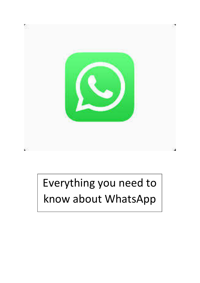

# Everything you need to know about WhatsApp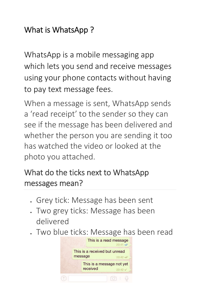#### What is WhatsApp ?

WhatsApp is a mobile messaging app which lets you send and receive messages using your phone contacts without having to pay text message fees.

When a message is sent, WhatsApp sends a 'read receipt' to the sender so they can see if the message has been delivered and whether the person you are sending it too has watched the video or looked at the photo you attached.

# What do the ticks next to WhatsApp messages mean?

- Grey tick: Message has been sent
- Two grey ticks: Message has been delivered
- Two blue ticks: Message has been read

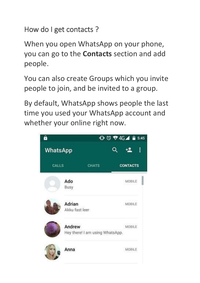How do I get contacts ?

When you open WhatsApp on your phone, you can go to the **Contacts** section and add people.

You can also create Groups which you invite people to join, and be invited to a group.

By default, WhatsApp shows people the last time you used your WhatsApp account and whether your online right now.

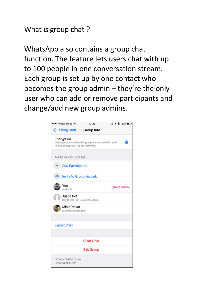#### What is group chat ?

WhatsApp also contains a group chat function. The feature lets users chat with up to 100 people in one conversation stream. Each group is set up by one contact who becomes the group admin – they're the only user who can add or remove participants and change/add new group admins.

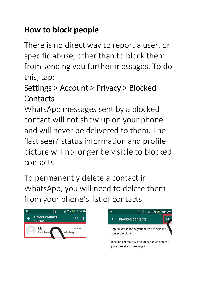# **How to block people**

There is no direct way to report a user, or specific abuse, other than to block them from sending you further messages. To do this, tap:

# Settings > Account > Privacy > Blocked **Contacts**

WhatsApp messages sent by a blocked contact will not show up on your phone and will never be delivered to them. The 'last seen' status information and profile picture will no longer be visible to blocked contacts.

To permanently delete a contact in WhatsApp, you will need to delete them from your phone's list of contacts.



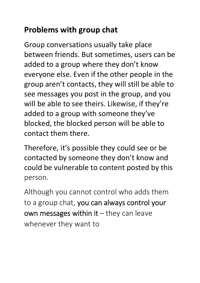## **Problems with group chat**

Group conversations usually take place between friends. But sometimes, users can be added to a group where they don't know everyone else. Even if the other people in the group aren't contacts, they will still be able to see messages you post in the group, and you will be able to see theirs. Likewise, if they're added to a group with someone they've blocked, the blocked person will be able to contact them there.

Therefore, it's possible they could see or be contacted by someone they don't know and could be vulnerable to content posted by this person.

Although you cannot control who adds them to a group chat, you can always control your own messages within it  $-$  they can leave whenever they want to.